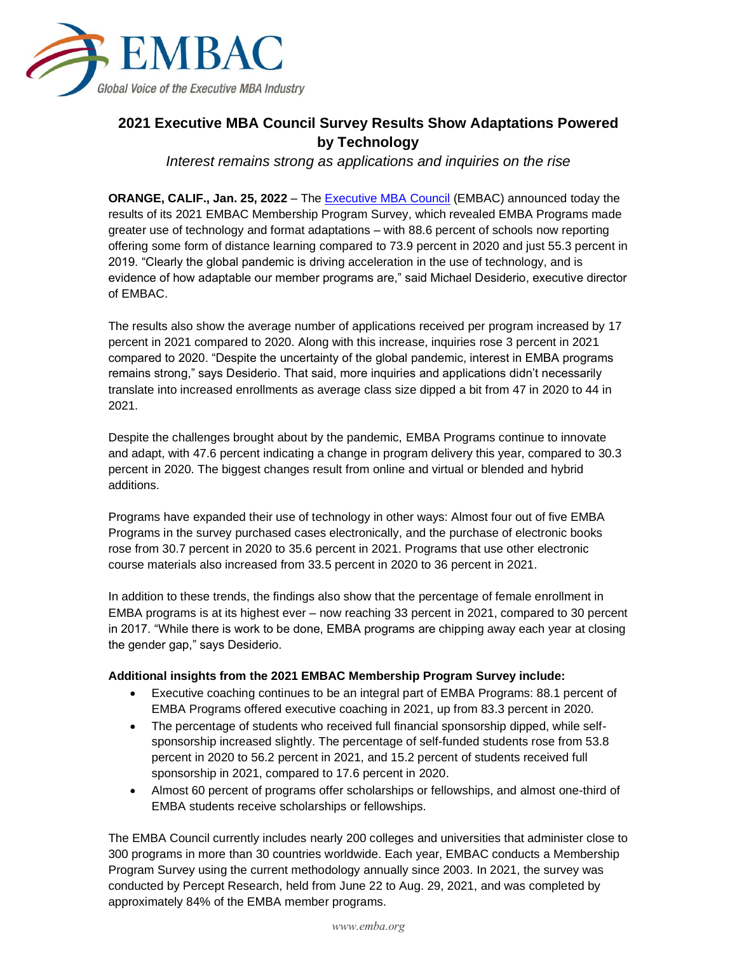

## **2021 Executive MBA Council Survey Results Show Adaptations Powered by Technology**

*Interest remains strong as applications and inquiries on the rise*

**ORANGE, CALIF., Jan. 25, 2022** – The [Executive MBA Council](https://www.embac.org/) (EMBAC) announced today the results of its 2021 EMBAC Membership Program Survey, which revealed EMBA Programs made greater use of technology and format adaptations – with 88.6 percent of schools now reporting offering some form of distance learning compared to 73.9 percent in 2020 and just 55.3 percent in 2019. "Clearly the global pandemic is driving acceleration in the use of technology, and is evidence of how adaptable our member programs are," said Michael Desiderio, executive director of EMBAC.

The results also show the average number of applications received per program increased by 17 percent in 2021 compared to 2020. Along with this increase, inquiries rose 3 percent in 2021 compared to 2020. "Despite the uncertainty of the global pandemic, interest in EMBA programs remains strong," says Desiderio. That said, more inquiries and applications didn't necessarily translate into increased enrollments as average class size dipped a bit from 47 in 2020 to 44 in 2021.

Despite the challenges brought about by the pandemic, EMBA Programs continue to innovate and adapt, with 47.6 percent indicating a change in program delivery this year, compared to 30.3 percent in 2020. The biggest changes result from online and virtual or blended and hybrid additions.

Programs have expanded their use of technology in other ways: Almost four out of five EMBA Programs in the survey purchased cases electronically, and the purchase of electronic books rose from 30.7 percent in 2020 to 35.6 percent in 2021. Programs that use other electronic course materials also increased from 33.5 percent in 2020 to 36 percent in 2021.

In addition to these trends, the findings also show that the percentage of female enrollment in EMBA programs is at its highest ever – now reaching 33 percent in 2021, compared to 30 percent in 2017. "While there is work to be done, EMBA programs are chipping away each year at closing the gender gap," says Desiderio.

## **Additional insights from the 2021 EMBAC Membership Program Survey include:**

- Executive coaching continues to be an integral part of EMBA Programs: 88.1 percent of EMBA Programs offered executive coaching in 2021, up from 83.3 percent in 2020.
- The percentage of students who received full financial sponsorship dipped, while selfsponsorship increased slightly. The percentage of self-funded students rose from 53.8 percent in 2020 to 56.2 percent in 2021, and 15.2 percent of students received full sponsorship in 2021, compared to 17.6 percent in 2020.
- Almost 60 percent of programs offer scholarships or fellowships, and almost one-third of EMBA students receive scholarships or fellowships.

The EMBA Council currently includes nearly 200 colleges and universities that administer close to 300 programs in more than 30 countries worldwide. Each year, EMBAC conducts a Membership Program Survey using the current methodology annually since 2003. In 2021, the survey was conducted by Percept Research, held from June 22 to Aug. 29, 2021, and was completed by approximately 84% of the EMBA member programs.